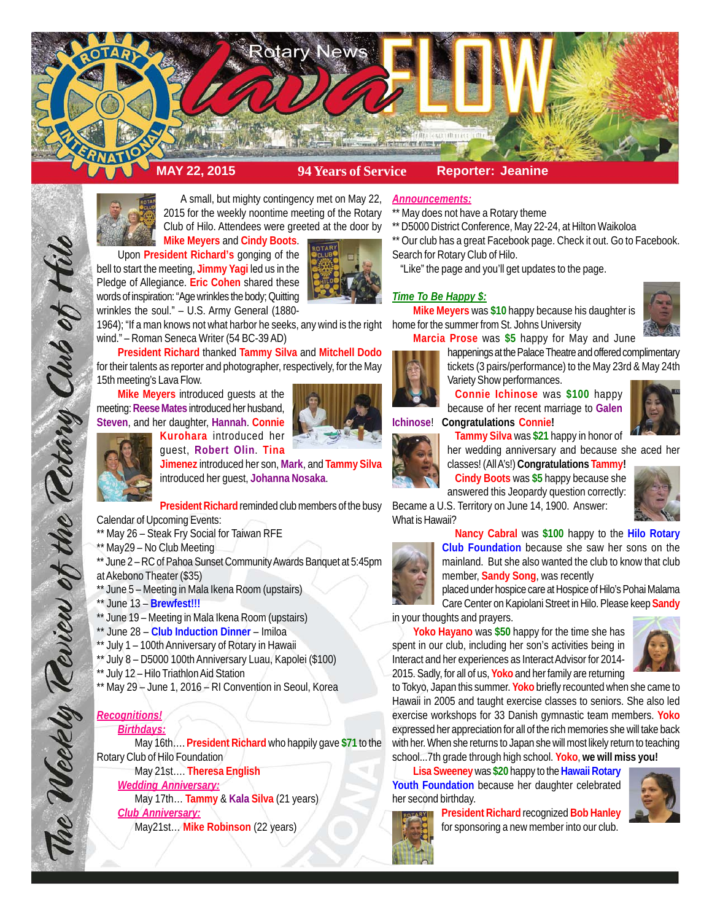



A small, but mighty contingency met on May 22, 2015 for the weekly noontime meeting of the Rotary Club of Hilo. Attendees were greeted at the door by **Mike Meyers** and **Cindy Boots**.

Upon **President Richard's** gonging of the bell to start the meeting, **Jimmy Yagi** led us in the Pledge of Allegiance. **Eric Cohen** shared these words of inspiration: "Age wrinkles the body; Quitting wrinkles the soul." – U.S. Army General (1880-

1964); "If a man knows not what harbor he seeks, any wind is the right wind." – Roman Seneca Writer (54 BC-39 AD)

**President Richard** thanked **Tammy Silva** and **Mitchell Dodo** for their talents as reporter and photographer, respectively, for the May 15th meeting's Lava Flow.

**Mike Meyers** introduced guests at the meeting: **Reese Mates** introduced her husband, **Steven**, and her daughter, **Hannah**. **Connie**



The Weekly Review of the Rotary Club of Hilo

**Kurohara** introduced her guest, **Robert Olin**. **Tina**

**Jimenez** introduced her son, **Mark**, and **Tammy Silva** introduced her guest, **Johanna Nosaka**.

**President Richard** reminded club members of the busy

Calendar of Upcoming Events:

- \*\* May 26 Steak Fry Social for Taiwan RFE
- \*\* May29 No Club Meeting
- \*\* June 2 RC of Pahoa Sunset Community Awards Banquet at 5:45pm
- at Akebono Theater (\$35)
- \*\* June 5 Meeting in Mala Ikena Room (upstairs)
- \*\* June 13 **Brewfest!!!**
- \*\* June 19 Meeting in Mala Ikena Room (upstairs)
- \*\* June 28 **Club Induction Dinner** Imiloa
- \*\* July 1 100th Anniversary of Rotary in Hawaii
- \*\* July 8 D5000 100th Anniversary Luau, Kapolei (\$100)
- \*\* July 12 Hilo Triathlon Aid Station
- \*\* May 29 June 1, 2016 RI Convention in Seoul, Korea

# *Recognitions!*

# *Birthdays:*

May 16th…. **President Richard** who happily gave **\$71** to the Rotary Club of Hilo Foundation

May 21st…. **Theresa English**

*Wedding Anniversary:*

May 17th… **Tammy** & **Kala Silva** (21 years)

*Club Anniversary:*

May21st… **Mike Robinson** (22 years)

### *Announcements:*

- \*\* May does not have a Rotary theme
- \*\* D5000 District Conference, May 22-24, at Hilton Waikoloa
- \*\* Our club has a great Facebook page. Check it out. Go to Facebook. Search for Rotary Club of Hilo.

"Like" the page and you'll get updates to the page.

## *Time To Be Happy \$:*

**Mike Meyers** was **\$10** happy because his daughter is home for the summer from St. Johns University



**Marcia Prose** was **\$5** happy for May and June happenings at the Palace Theatre and offered complimentary tickets (3 pairs/performance) to the May 23rd & May 24th Variety Show performances.

**Connie Ichinose** was **\$100** happy because of her recent marriage to **Galen Ichinose**! **Congratulations Connie!**



**Tammy Silva** was **\$21** happy in honor of



her wedding anniversary and because she aced her classes! (All A's!) **Congratulations Tammy!**

**Cindy Boots** was **\$5** happy because she answered this Jeopardy question correctly:

Became a U.S. Territory on June 14, 1900. Answer: What is Hawaii?



**Nancy Cabral** was **\$100** happy to the **Hilo Rotary Club Foundation** because she saw her sons on the mainland. But she also wanted the club to know that club member, **Sandy Song**, was recently

placed under hospice care at Hospice of Hilo's Pohai Malama

Care Center on Kapiolani Street in Hilo. Please keep **Sandy** in your thoughts and prayers.

**Yoko Hayano** was **\$50** happy for the time she has spent in our club, including her son's activities being in Interact and her experiences as Interact Advisor for 2014-



2015. Sadly, for all of us, **Yoko** and her family are returning to Tokyo, Japan this summer. **Yoko** briefly recounted when she came to Hawaii in 2005 and taught exercise classes to seniors. She also led exercise workshops for 33 Danish gymnastic team members. **Yoko** expressed her appreciation for all of the rich memories she will take back with her. When she returns to Japan she will most likely return to teaching school...7th grade through high school. **Yoko**, **we will miss you!**

**Lisa Sweeney** was **\$20** happy to the **Hawaii Rotary Youth Foundation** because her daughter celebrated her second birthday.

> **President Richard** recognized **Bob Hanley** for sponsoring a new member into our club.